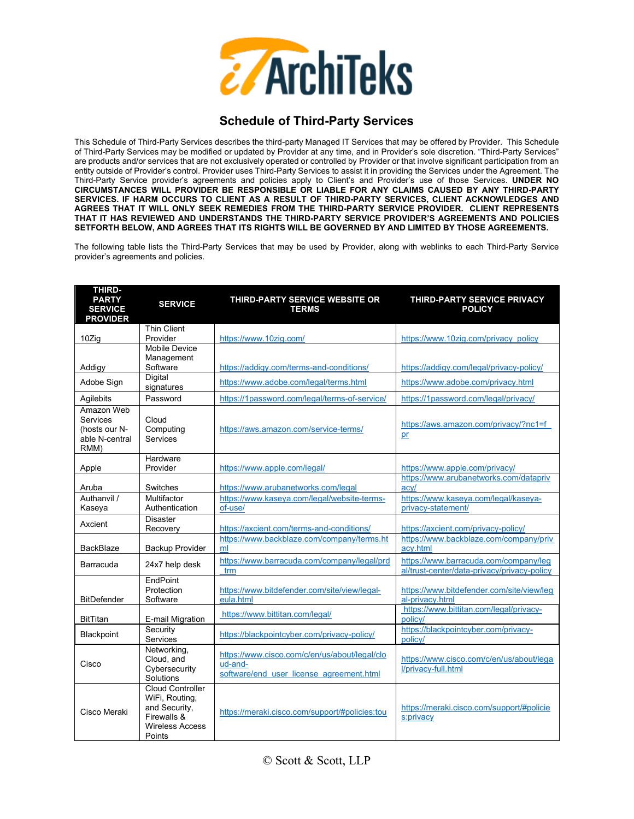

## **Schedule of Third-Party Services**

This Schedule of Third-Party Services describes the third-party Managed IT Services that may be offered by Provider. This Schedule of Third-Party Services may be modified or updated by Provider at any time, and in Provider's sole discretion. "Third-Party Services" are products and/or services that are not exclusively operated or controlled by Provider or that involve significant participation from an entity outside of Provider's control. Provider uses Third-Party Services to assist it in providing the Services under the Agreement. The Third-Party Service provider's agreements and policies apply to Client's and Provider's use of those Services. **UNDER NO CIRCUMSTANCES WILL PROVIDER BE RESPONSIBLE OR LIABLE FOR ANY CLAIMS CAUSED BY ANY THIRD-PARTY SERVICES. IF HARM OCCURS TO CLIENT AS A RESULT OF THIRD-PARTY SERVICES, CLIENT ACKNOWLEDGES AND AGREES THAT IT WILL ONLY SEEK REMEDIES FROM THE THIRD-PARTY SERVICE PROVIDER. CLIENT REPRESENTS THAT IT HAS REVIEWED AND UNDERSTANDS THE THIRD-PARTY SERVICE PROVIDER'S AGREEMENTS AND POLICIES SETFORTH BELOW, AND AGREES THAT ITS RIGHTS WILL BE GOVERNED BY AND LIMITED BY THOSE AGREEMENTS.** 

The following table lists the Third-Party Services that may be used by Provider, along with weblinks to each Third-Party Service provider's agreements and policies.

| <b>THIRD-</b><br><b>PARTY</b><br><b>SERVICE</b><br><b>PROVIDER</b> | <b>SERVICE</b>                                                                                                | THIRD-PARTY SERVICE WEBSITE OR<br><b>TERMS</b>                                                       | THIRD-PARTY SERVICE PRIVACY<br><b>POLICY</b>                                         |
|--------------------------------------------------------------------|---------------------------------------------------------------------------------------------------------------|------------------------------------------------------------------------------------------------------|--------------------------------------------------------------------------------------|
| 10Zig                                                              | <b>Thin Client</b><br>Provider                                                                                | https://www.10zig.com/                                                                               | https://www.10zig.com/privacy_policy                                                 |
|                                                                    | Mobile Device                                                                                                 |                                                                                                      |                                                                                      |
| Addigy                                                             | Management<br>Software                                                                                        | https://addigy.com/terms-and-conditions/                                                             | https://addigy.com/legal/privacy-policy/                                             |
| Adobe Sign                                                         | Digital<br>signatures                                                                                         | https://www.adobe.com/legal/terms.html                                                               | https://www.adobe.com/privacy.html                                                   |
| Agilebits                                                          | Password                                                                                                      | https://1password.com/legal/terms-of-service/                                                        | https://1password.com/legal/privacy/                                                 |
| Amazon Web<br>Services<br>(hosts our N-<br>able N-central<br>RMM)  | Cloud<br>Computing<br>Services                                                                                | https://aws.amazon.com/service-terms/                                                                | https://aws.amazon.com/privacy/?nc1=f<br>pr                                          |
| Apple                                                              | Hardware<br>Provider                                                                                          | https://www.apple.com/legal/                                                                         | https://www.apple.com/privacy/                                                       |
| Aruba                                                              | Switches                                                                                                      | https://www.arubanetworks.com/legal                                                                  | https://www.arubanetworks.com/datapriv<br>acv/                                       |
| Authanvil /<br>Kaseya                                              | Multifactor<br>Authentication                                                                                 | https://www.kaseya.com/legal/website-terms-<br>of-use/                                               | https://www.kaseya.com/legal/kaseya-<br>privacy-statement/                           |
| Axcient                                                            | <b>Disaster</b><br>Recovery                                                                                   | https://axcient.com/terms-and-conditions/                                                            | https://axcient.com/privacy-policy/                                                  |
| <b>BackBlaze</b>                                                   | Backup Provider                                                                                               | https://www.backblaze.com/company/terms.ht<br>ml                                                     | https://www.backblaze.com/company/priv<br>acv.html                                   |
| Barracuda                                                          | 24x7 help desk                                                                                                | https://www.barracuda.com/company/legal/prd<br>trm                                                   | https://www.barracuda.com/company/leg<br>al/trust-center/data-privacy/privacy-policy |
| <b>BitDefender</b>                                                 | EndPoint<br>Protection<br>Software                                                                            | https://www.bitdefender.com/site/view/legal-<br>eula.html                                            | https://www.bitdefender.com/site/view/leq<br>al-privacy.html                         |
| <b>BitTitan</b>                                                    | E-mail Migration                                                                                              | https://www.bittitan.com/legal/                                                                      | https://www.bittitan.com/legal/privacy-<br>policy/                                   |
| Blackpoint                                                         | Security<br>Services                                                                                          | https://blackpointcyber.com/privacy-policy/                                                          | https://blackpointcyber.com/privacy-<br>policy/                                      |
| Cisco                                                              | Networking,<br>Cloud, and<br>Cybersecurity<br>Solutions                                                       | https://www.cisco.com/c/en/us/about/legal/clo<br>ud-and-<br>software/end user license agreement.html | https://www.cisco.com/c/en/us/about/lega<br>l/privacy-full.html                      |
| Cisco Meraki                                                       | <b>Cloud Controller</b><br>WiFi, Routing,<br>and Security,<br>Firewalls &<br><b>Wireless Access</b><br>Points | https://meraki.cisco.com/support/#policies:tou                                                       | https://meraki.cisco.com/support/#policie<br>s:privacy                               |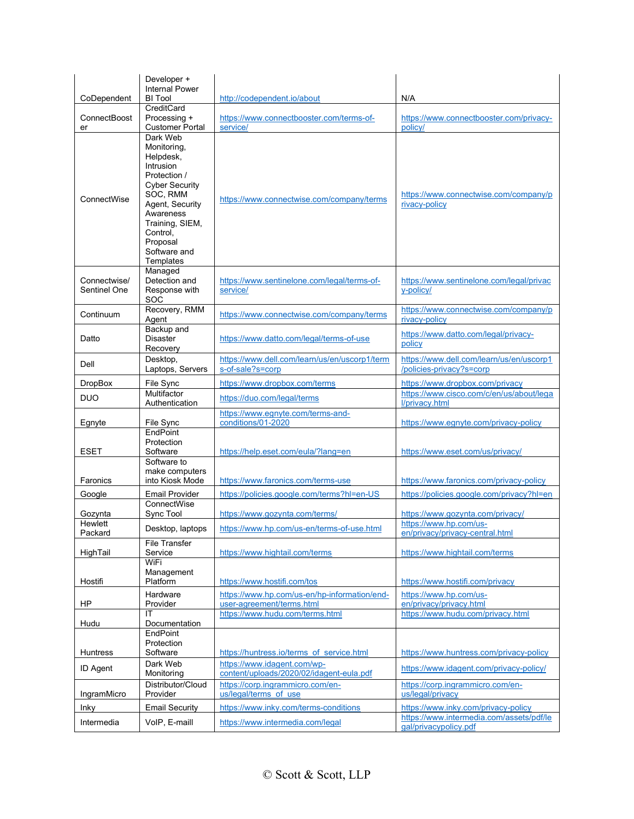| CoDependent                  | Developer +<br><b>Internal Power</b><br><b>BI</b> Tool                                                                                                                                                         | http://codependent.io/about                                               | N/A                                                                             |
|------------------------------|----------------------------------------------------------------------------------------------------------------------------------------------------------------------------------------------------------------|---------------------------------------------------------------------------|---------------------------------------------------------------------------------|
| ConnectBoost<br>er           | CreditCard<br>Processing +<br><b>Customer Portal</b>                                                                                                                                                           | https://www.connectbooster.com/terms-of-<br>service/                      | https://www.connectbooster.com/privacy-<br>policy/                              |
| ConnectWise                  | Dark Web<br>Monitoring,<br>Helpdesk,<br>Intrusion<br>Protection /<br><b>Cyber Security</b><br>SOC, RMM<br>Agent, Security<br>Awareness<br>Training, SIEM,<br>Control,<br>Proposal<br>Software and<br>Templates | https://www.connectwise.com/company/terms                                 | https://www.connectwise.com/company/p<br>rivacy-policy                          |
| Connectwise/<br>Sentinel One | Managed<br>Detection and<br>Response with<br>SOC                                                                                                                                                               | https://www.sentinelone.com/legal/terms-of-<br>service/                   | https://www.sentinelone.com/legal/privac<br>v-policy/                           |
| Continuum                    | Recovery, RMM<br>Agent                                                                                                                                                                                         | https://www.connectwise.com/company/terms                                 | https://www.connectwise.com/company/p<br>rivacy-policy                          |
| Datto                        | Backup and<br><b>Disaster</b><br>Recovery                                                                                                                                                                      | https://www.datto.com/legal/terms-of-use                                  | https://www.datto.com/legal/privacy-<br>policy                                  |
| Dell                         | Desktop,<br>Laptops, Servers                                                                                                                                                                                   | https://www.dell.com/learn/us/en/uscorp1/term<br>s-of-sale?s=corp         | https://www.dell.com/learn/us/en/uscorp1<br>/policies-privacy?s=corp            |
| <b>DropBox</b>               | File Sync<br>Multifactor                                                                                                                                                                                       | https://www.dropbox.com/terms                                             | https://www.dropbox.com/privacy<br>https://www.cisco.com/c/en/us/about/lega     |
| <b>DUO</b>                   | Authentication                                                                                                                                                                                                 | https://duo.com/legal/terms                                               | l/privacy.html                                                                  |
| Egnyte                       | File Sync                                                                                                                                                                                                      | https://www.eqnyte.com/terms-and-<br>conditions/01-2020                   | https://www.eqnyte.com/privacy-policy                                           |
| ESET                         | EndPoint<br>Protection<br>Software<br>Software to                                                                                                                                                              | https://help.eset.com/eula/?lang=en                                       | https://www.eset.com/us/privacy/                                                |
| Faronics                     | make computers<br>into Kiosk Mode                                                                                                                                                                              | https://www.faronics.com/terms-use                                        | https://www.faronics.com/privacy-policy                                         |
| Google                       | <b>Email Provider</b>                                                                                                                                                                                          | https://policies.google.com/terms?hl=en-US                                | https://policies.google.com/privacy?hl=en                                       |
| Gozynta                      | ConnectWise<br>Sync Tool                                                                                                                                                                                       | https://www.gozynta.com/terms/                                            | https://www.gozynta.com/privacy/                                                |
| Hewlett<br>Packard           | Desktop, laptops                                                                                                                                                                                               | https://www.hp.com/us-en/terms-of-use.html                                | https://www.hp.com/us-<br>en/privacy/privacy-central.html                       |
| HighTail                     | <b>File Transfer</b><br>Service<br>WiFi                                                                                                                                                                        | https://www.hightail.com/terms                                            | https://www.hightail.com/terms                                                  |
| Hostifi                      | Management<br>Platform                                                                                                                                                                                         | https://www.hostifi.com/tos                                               | https://www.hostifi.com/privacy                                                 |
| HP                           | Hardware<br>Provider                                                                                                                                                                                           | https://www.hp.com/us-en/hp-information/end-<br>user-agreement/terms.html | https://www.hp.com/us-<br>en/privacy/privacy.html                               |
| Hudu                         | IT<br>Documentation                                                                                                                                                                                            | https://www.hudu.com/terms.html                                           | https://www.hudu.com/privacy.html                                               |
| Huntress                     | EndPoint<br>Protection<br>Software<br>Dark Web                                                                                                                                                                 | https://huntress.io/terms of service.html<br>https://www.idagent.com/wp-  | https://www.huntress.com/privacy-policy                                         |
| <b>ID Agent</b>              | Monitoring                                                                                                                                                                                                     | content/uploads/2020/02/idagent-eula.pdf                                  | https://www.idagent.com/privacy-policy/                                         |
| IngramMicro                  | Distributor/Cloud<br>Provider                                                                                                                                                                                  | https://corp.ingrammicro.com/en-<br>us/legal/terms of use                 | https://corp.ingrammicro.com/en-<br>us/legal/privacy                            |
| Inky                         | <b>Email Security</b>                                                                                                                                                                                          | https://www.inky.com/terms-conditions                                     | https://www.inky.com/privacy-policy<br>https://www.intermedia.com/assets/pdf/le |
| Intermedia                   | VoIP, E-maill                                                                                                                                                                                                  | https://www.intermedia.com/legal                                          | gal/privacypolicy.pdf                                                           |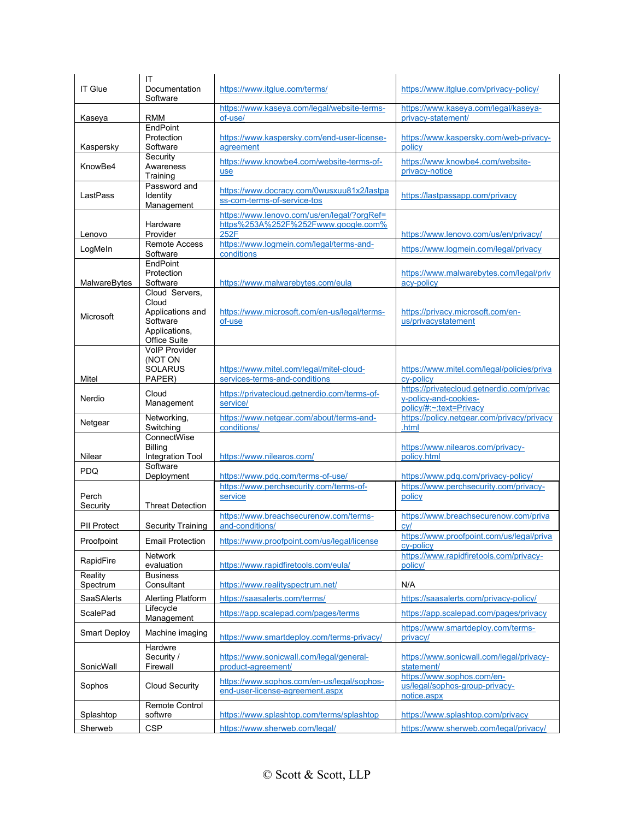| <b>IT Glue</b>      | IT<br>Documentation<br>Software                                                          | https://www.itglue.com/terms/                                                              | https://www.itglue.com/privacy-policy/                                                        |
|---------------------|------------------------------------------------------------------------------------------|--------------------------------------------------------------------------------------------|-----------------------------------------------------------------------------------------------|
| Kaseya              | <b>RMM</b>                                                                               | https://www.kaseya.com/legal/website-terms-<br>of-use/                                     | https://www.kaseya.com/legal/kaseya-<br>privacy-statement/                                    |
| Kaspersky           | EndPoint<br>Protection<br>Software                                                       | https://www.kaspersky.com/end-user-license-<br>agreement                                   | https://www.kaspersky.com/web-privacy-<br>policy                                              |
| KnowBe4             | Security<br>Awareness<br>Training                                                        | https://www.knowbe4.com/website-terms-of-<br>use                                           | https://www.knowbe4.com/website-<br>privacy-notice                                            |
| LastPass            | Password and<br>Identity<br>Management                                                   | https://www.docracy.com/0wusxuu81x2/lastpa<br>ss-com-terms-of-service-tos                  | https://lastpassapp.com/privacy                                                               |
| Lenovo              | Hardware<br>Provider                                                                     | https://www.lenovo.com/us/en/legal/?orgRef=<br>https%253A%252F%252Fwww.google.com%<br>252F | https://www.lenovo.com/us/en/privacy/                                                         |
| LogMeln             | <b>Remote Access</b><br>Software                                                         | https://www.logmein.com/legal/terms-and-<br>conditions                                     | https://www.logmein.com/legal/privacy                                                         |
| MalwareBytes        | EndPoint<br>Protection<br>Software                                                       | https://www.malwarebytes.com/eula                                                          | https://www.malwarebytes.com/legal/priv<br>acy-policy                                         |
| Microsoft           | Cloud Servers,<br>Cloud<br>Applications and<br>Software<br>Applications,<br>Office Suite | https://www.microsoft.com/en-us/legal/terms-<br>of-use                                     | https://privacy.microsoft.com/en-<br>us/privacystatement                                      |
| Mitel               | <b>VoIP Provider</b><br>(NOT ON<br><b>SOLARUS</b><br>PAPER)                              | https://www.mitel.com/legal/mitel-cloud-<br>services-terms-and-conditions                  | https://www.mitel.com/legal/policies/priva<br>cv-policy                                       |
| Nerdio              | Cloud<br>Management                                                                      | https://privatecloud.getnerdio.com/terms-of-<br>service/                                   | https://privatecloud.getnerdio.com/privac<br>y-policy-and-cookies-<br>policy/#:~:text=Privacy |
| Netgear             | Networking,<br>Switching                                                                 | https://www.netgear.com/about/terms-and-<br>conditions/                                    | https://policy.netgear.com/privacy/privacy<br>.html                                           |
| Nilear              | ConnectWise<br><b>Billing</b><br>Integration Tool                                        | https://www.nilearos.com/                                                                  | https://www.nilearos.com/privacy-<br>policy.html                                              |
| <b>PDQ</b>          | Software<br>Deployment                                                                   | https://www.pdg.com/terms-of-use/                                                          | https://www.pdq.com/privacy-policy/                                                           |
| Perch<br>Security   | <b>Threat Detection</b>                                                                  | https://www.perchsecurity.com/terms-of-<br>service                                         | https://www.perchsecurity.com/privacy-<br>policy                                              |
| <b>PII Protect</b>  | <b>Security Training</b>                                                                 | https://www.breachsecurenow.com/terms-<br>and-conditions/                                  | https://www.breachsecurenow.com/priva<br>cv/                                                  |
| Proofpoint          | <b>Email Protection</b>                                                                  | https://www.proofpoint.com/us/legal/license                                                | https://www.proofpoint.com/us/legal/priva<br>cy-policy                                        |
| RapidFire           | Network<br>evaluation                                                                    | https://www.rapidfiretools.com/eula/                                                       | https://www.rapidfiretools.com/privacy-<br>policy/                                            |
| Reality<br>Spectrum | <b>Business</b><br>Consultant                                                            | https://www.realityspectrum.net/                                                           | N/A                                                                                           |
| SaaSAlerts          | Alerting Platform                                                                        | https://saasalerts.com/terms/                                                              | https://saasalerts.com/privacy-policy/                                                        |
| ScalePad            | Lifecycle<br>Management                                                                  | https://app.scalepad.com/pages/terms                                                       | https://app.scalepad.com/pages/privacy                                                        |
| <b>Smart Deploy</b> | Machine imaging                                                                          | https://www.smartdeplov.com/terms-privacy/                                                 | https://www.smartdeploy.com/terms-<br>privacy/                                                |
| SonicWall           | Hardwre<br>Security /<br>Firewall                                                        | https://www.sonicwall.com/legal/general-<br>product-agreement/                             | https://www.sonicwall.com/legal/privacy-<br>statement/                                        |
| Sophos              | <b>Cloud Security</b>                                                                    | https://www.sophos.com/en-us/legal/sophos-<br>end-user-license-agreement.aspx              | https://www.sophos.com/en-<br>us/legal/sophos-group-privacy-<br>notice.aspx                   |
| Splashtop           | <b>Remote Control</b><br>softwre                                                         | https://www.splashtop.com/terms/splashtop                                                  | https://www.splashtop.com/privacy                                                             |
| Sherweb             | <b>CSP</b>                                                                               | https://www.sherweb.com/legal/                                                             | https://www.sherweb.com/legal/privacy/                                                        |